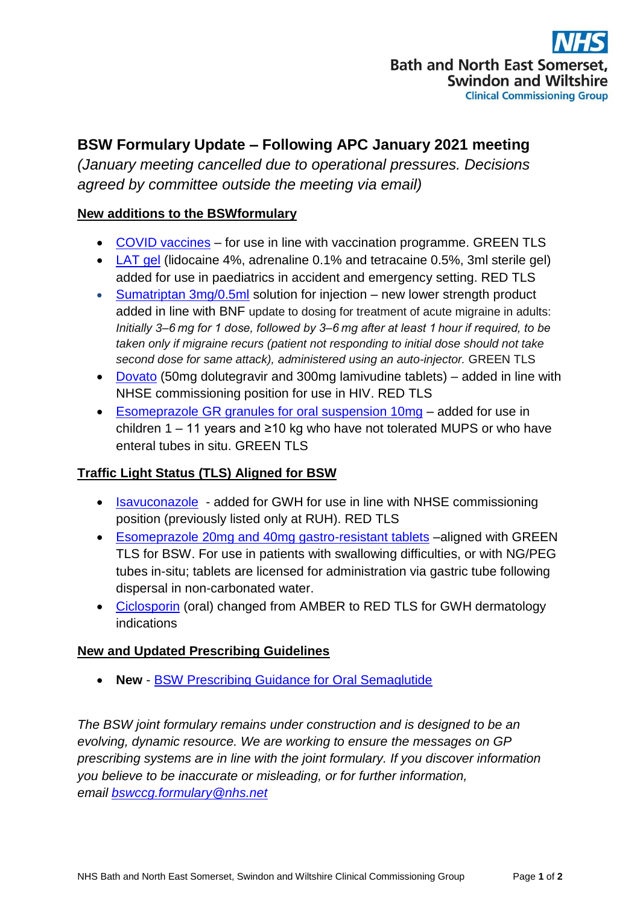# **BSW Formulary Update – Following APC January 2021 meeting**

*(January meeting cancelled due to operational pressures. Decisions agreed by committee outside the meeting via email)*

## **New additions to the BSWformulary**

- [COVID vaccines](http://bswformulary.nhs.uk/chaptersSubDetails.asp?FormularySectionID=14&SubSectionRef=14.04&SubSectionID=A100&drugmatch=5661#5661) for use in line with vaccination programme. GREEN TLS
- [LAT gel](http://bswformulary.nhs.uk/chaptersSubDetails.asp?FormularySectionID=16&SubSectionRef=16.16&SubSectionID=A100) (lidocaine 4%, adrenaline 0.1% and tetracaine 0.5%, 3ml sterile gel) added for use in paediatrics in accident and emergency setting. RED TLS
- [Sumatriptan 3mg/0.5ml](http://bswformulary.nhs.uk/chaptersSubDetails.asp?FormularySectionID=4&SubSectionRef=04.07.04.01&SubSectionID=C100&drugmatch=1642#1642) solution for injection new lower strength product added in line with BNF update to dosing for treatment of acute migraine in adults: *Initially 3–6 mg for 1 dose, followed by 3–6 mg after at least 1 hour if required, to be taken only if migraine recurs (patient not responding to initial dose should not take second dose for same attack), administered using an auto-injector.* GREEN TLS
- [Dovato](http://bswformulary.nhs.uk/chaptersSubDetails.asp?FormularySectionID=5&SubSectionRef=05.03.01&SubSectionID=B100&drugmatch=5660#5660) (50mg dolutegravir and 300mg lamivudine tablets) added in line with NHSE commissioning position for use in HIV. RED TLS
- [Esomeprazole GR granules for oral suspension 10mg](http://bswformulary.nhs.uk/chaptersSubDetails.asp?FormularySectionID=16&SubSectionRef=16.01&SubSectionID=A100&drugmatch=5666#5666) added for use in children 1 – 11 years and ≥10 kg who have not tolerated MUPS or who have enteral tubes in situ. GREEN TLS

## **Traffic Light Status (TLS) Aligned for BSW**

- [Isavuconazole](http://bswformulary.nhs.uk/chaptersSubDetails.asp?FormularySectionID=5&SubSectionRef=05.02&SubSectionID=A100&drugmatch=4886#4886)  added for GWH for use in line with NHSE commissioning position (previously listed only at RUH). RED TLS
- Esomeprazole [20mg and 40mg gastro-resistant tablets](http://bswformulary.nhs.uk/chaptersSubDetails.asp?FormularySectionID=1&SubSectionRef=01.03.05&SubSectionID=A100&drugmatch=2219#2219) –aligned with GREEN TLS for BSW. For use in patients with swallowing difficulties, or with NG/PEG tubes in-situ; tablets are licensed for administration via gastric tube following dispersal in non-carbonated water.
- [Ciclosporin](http://bswformulary.nhs.uk/chaptersSubDetails.asp?FormularySectionID=13&SubSectionRef=13.05.03&SubSectionID=A100&drugmatch=1253#1253) (oral) changed from AMBER to RED TLS for GWH dermatology indications

## **New and Updated Prescribing Guidelines**

**New** - [BSW Prescribing Guidance for Oral Semaglutide](https://prescribing.bswccg.nhs.uk/?wpdmdl=8363&ind=1612183699058)

*The BSW joint formulary remains under construction and is designed to be an evolving, dynamic resource. We are working to ensure the messages on GP prescribing systems are in line with the joint formulary. If you discover information you believe to be inaccurate or misleading, or for further information, email [bswccg.formulary@nhs.net](mailto:bswccg.formulary@nhs.net)*